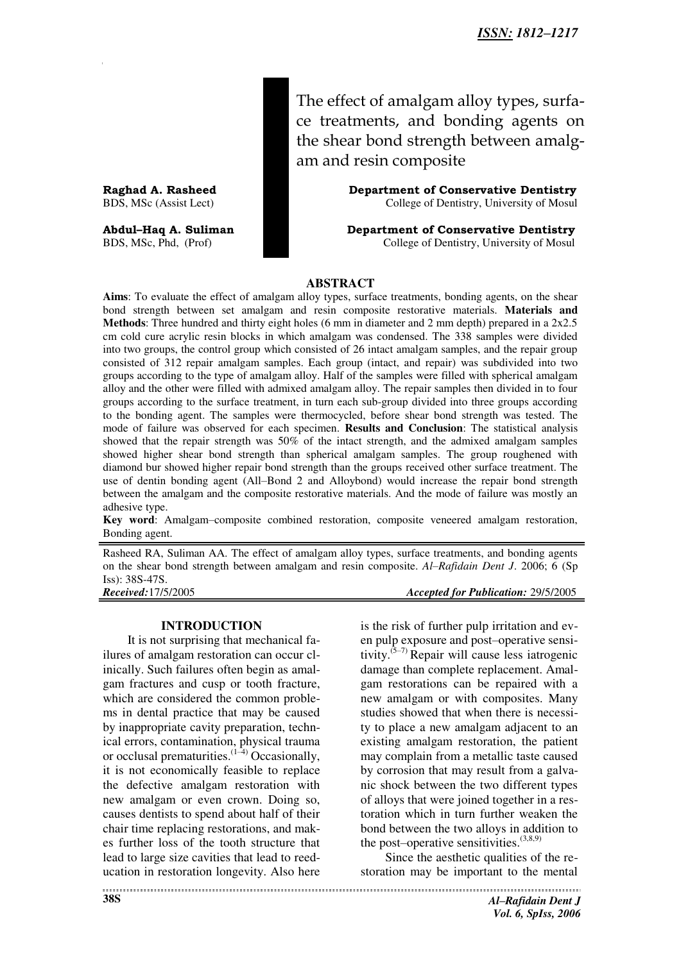The effect of amalgam alloy types, surface treatments, and bonding agents on the shear bond strength between amalgam and resin composite

Raghad A. Rasheed **Department of Conservative Dentistry** BDS, MSc (Assist Lect) College of Dentistry, University of Mosul

**Abdul–Haq A. Suliman Department of Conservative Dentistry**  BDS, MSc, Phd, (Prof) College of Dentistry, University of Mosul

### **ABSTRACT**

**Aims**: To evaluate the effect of amalgam alloy types, surface treatments, bonding agents, on the shear bond strength between set amalgam and resin composite restorative materials. **Materials and Methods**: Three hundred and thirty eight holes (6 mm in diameter and 2 mm depth) prepared in a 2x2.5 cm cold cure acrylic resin blocks in which amalgam was condensed. The 338 samples were divided into two groups, the control group which consisted of 26 intact amalgam samples, and the repair group consisted of 312 repair amalgam samples. Each group (intact, and repair) was subdivided into two groups according to the type of amalgam alloy. Half of the samples were filled with spherical amalgam alloy and the other were filled with admixed amalgam alloy. The repair samples then divided in to four groups according to the surface treatment, in turn each sub-group divided into three groups according to the bonding agent. The samples were thermocycled, before shear bond strength was tested. The mode of failure was observed for each specimen. **Results and Conclusion**: The statistical analysis showed that the repair strength was 50% of the intact strength, and the admixed amalgam samples showed higher shear bond strength than spherical amalgam samples. The group roughened with diamond bur showed higher repair bond strength than the groups received other surface treatment. The use of dentin bonding agent (All–Bond 2 and Alloybond) would increase the repair bond strength between the amalgam and the composite restorative materials. And the mode of failure was mostly an adhesive type.

**Key word**: Amalgam–composite combined restoration, composite veneered amalgam restoration, Bonding agent.

Rasheed RA, Suliman AA. The effect of amalgam alloy types, surface treatments, and bonding agents on the shear bond strength between amalgam and resin composite. *Al–Rafidain Dent J*. 2006; 6 (Sp Iss): 38S-47S.

*Received:*17/5/2005 *Accepted for Publication:* 29/5/2005

#### **INTRODUCTION**

It is not surprising that mechanical failures of amalgam restoration can occur clinically. Such failures often begin as amalgam fractures and cusp or tooth fracture, which are considered the common problems in dental practice that may be caused by inappropriate cavity preparation, technical errors, contamination, physical trauma or occlusal prematurities. $(1-4)$  Occasionally, it is not economically feasible to replace the defective amalgam restoration with new amalgam or even crown. Doing so, causes dentists to spend about half of their chair time replacing restorations, and makes further loss of the tooth structure that lead to large size cavities that lead to reeducation in restoration longevity. Also here

is the risk of further pulp irritation and even pulp exposure and post–operative sensitivity.<sup>(5-7)</sup> Repair will cause less iatrogenic damage than complete replacement. Amalgam restorations can be repaired with a new amalgam or with composites. Many studies showed that when there is necessity to place a new amalgam adjacent to an existing amalgam restoration, the patient may complain from a metallic taste caused by corrosion that may result from a galvanic shock between the two different types of alloys that were joined together in a restoration which in turn further weaken the bond between the two alloys in addition to the post-operative sensitivities. $(3,8,9)$ 

Since the aesthetic qualities of the restoration may be important to the mental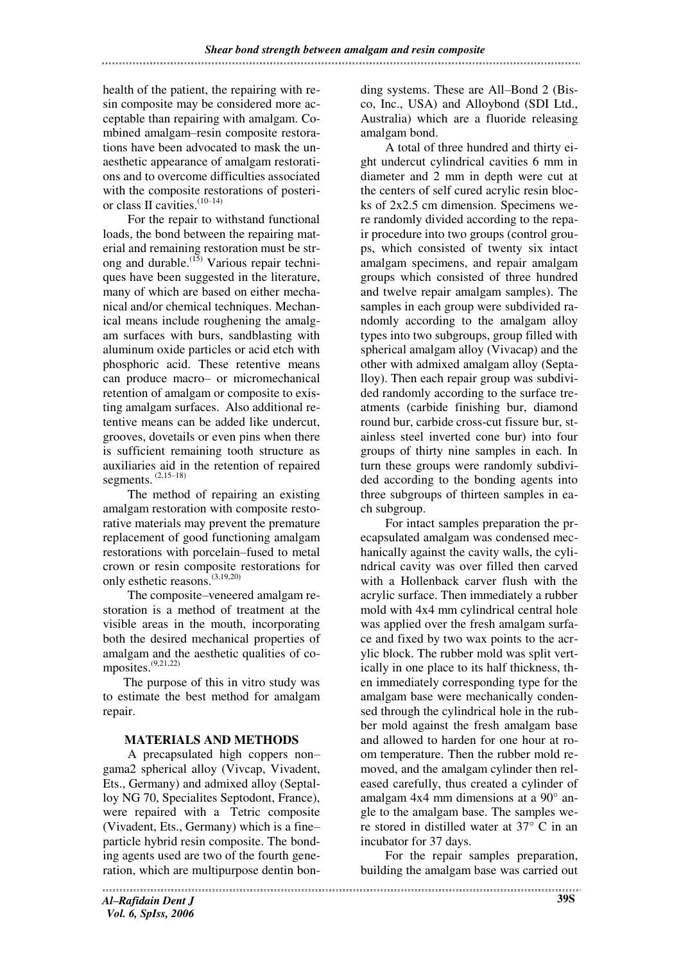health of the patient, the repairing with resin composite may be considered more acceptable than repairing with amalgam. Combined amalgam–resin composite restorations have been advocated to mask the unaesthetic appearance of amalgam restorations and to overcome difficulties associated with the composite restorations of posterior class II cavities.<sup>(10–14)</sup>

For the repair to withstand functional loads, the bond between the repairing material and remaining restoration must be strong and durable.<sup> $(15)$ </sup> Various repair techniques have been suggested in the literature, many of which are based on either mechanical and/or chemical techniques. Mechanical means include roughening the amalgam surfaces with burs, sandblasting with aluminum oxide particles or acid etch with phosphoric acid. These retentive means can produce macro– or micromechanical retention of amalgam or composite to existing amalgam surfaces. Also additional retentive means can be added like undercut, grooves, dovetails or even pins when there is sufficient remaining tooth structure as auxiliaries aid in the retention of repaired segments. (2,15–18)

The method of repairing an existing amalgam restoration with composite restorative materials may prevent the premature replacement of good functioning amalgam restorations with porcelain–fused to metal crown or resin composite restorations for only esthetic reasons.(3,19,20)

The composite–veneered amalgam restoration is a method of treatment at the visible areas in the mouth, incorporating both the desired mechanical properties of amalgam and the aesthetic qualities of composites. $(9,21,22)$ 

The purpose of this in vitro study was to estimate the best method for amalgam repair.

# **MATERIALS AND METHODS**

A precapsulated high coppers non– gama2 spherical alloy (Vivcap, Vivadent, Ets., Germany) and admixed alloy (Septalloy NG 70, Specialites Septodont, France), were repaired with a Tetric composite (Vivadent, Ets., Germany) which is a fine– particle hybrid resin composite. The bonding agents used are two of the fourth generation, which are multipurpose dentin bonding systems. These are All–Bond 2 (Bisco, Inc., USA) and Alloybond (SDI Ltd., Australia) which are a fluoride releasing amalgam bond.

A total of three hundred and thirty eight undercut cylindrical cavities 6 mm in diameter and 2 mm in depth were cut at the centers of self cured acrylic resin blocks of 2x2.5 cm dimension. Specimens were randomly divided according to the repair procedure into two groups (control groups, which consisted of twenty six intact amalgam specimens, and repair amalgam groups which consisted of three hundred and twelve repair amalgam samples). The samples in each group were subdivided randomly according to the amalgam alloy types into two subgroups, group filled with spherical amalgam alloy (Vivacap) and the other with admixed amalgam alloy (Septalloy). Then each repair group was subdivided randomly according to the surface treatments (carbide finishing bur, diamond round bur, carbide cross-cut fissure bur, stainless steel inverted cone bur) into four groups of thirty nine samples in each. In turn these groups were randomly subdivided according to the bonding agents into three subgroups of thirteen samples in each subgroup.

For intact samples preparation the precapsulated amalgam was condensed mechanically against the cavity walls, the cylindrical cavity was over filled then carved with a Hollenback carver flush with the acrylic surface. Then immediately a rubber mold with 4x4 mm cylindrical central hole was applied over the fresh amalgam surface and fixed by two wax points to the acrylic block. The rubber mold was split vertically in one place to its half thickness, then immediately corresponding type for the amalgam base were mechanically condensed through the cylindrical hole in the rubber mold against the fresh amalgam base and allowed to harden for one hour at room temperature. Then the rubber mold removed, and the amalgam cylinder then released carefully, thus created a cylinder of amalgam 4x4 mm dimensions at a 90° angle to the amalgam base. The samples were stored in distilled water at 37° C in an incubator for 37 days.

For the repair samples preparation, building the amalgam base was carried out

*Al–Rafidain Dent J Vol. 6, SpIss, 2006*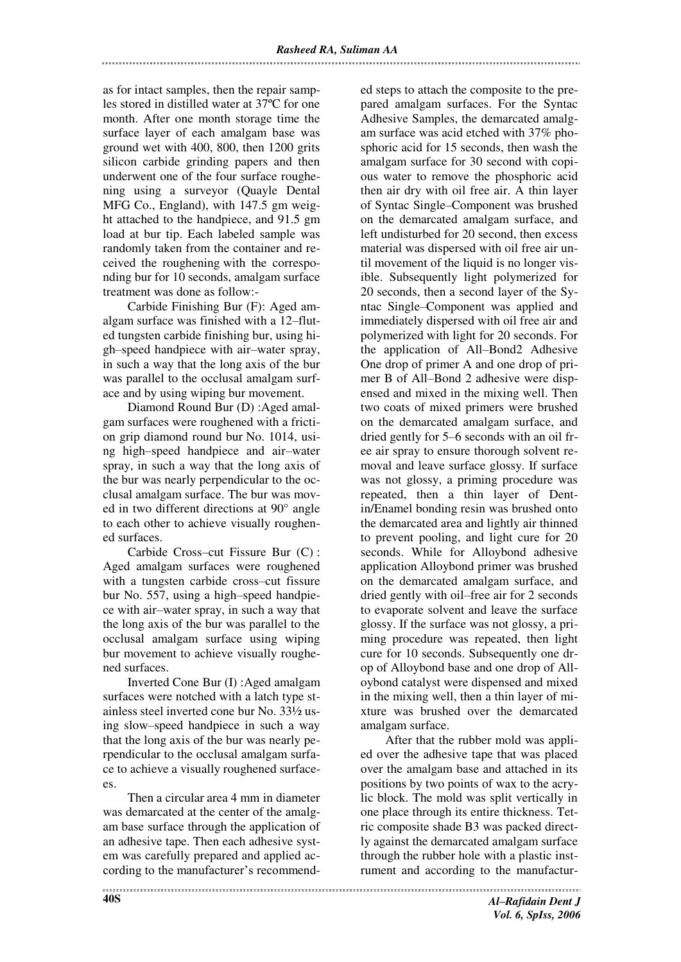as for intact samples, then the repair samples stored in distilled water at 37ºC for one month. After one month storage time the surface layer of each amalgam base was ground wet with 400, 800, then 1200 grits silicon carbide grinding papers and then underwent one of the four surface roughening using a surveyor (Quayle Dental MFG Co., England), with 147.5 gm weight attached to the handpiece, and 91.5 gm load at bur tip. Each labeled sample was randomly taken from the container and received the roughening with the corresponding bur for 10 seconds, amalgam surface treatment was done as follow:-

Carbide Finishing Bur (F): Aged amalgam surface was finished with a 12–fluted tungsten carbide finishing bur, using high–speed handpiece with air–water spray, in such a way that the long axis of the bur was parallel to the occlusal amalgam surface and by using wiping bur movement.

Diamond Round Bur (D) :Aged amalgam surfaces were roughened with a friction grip diamond round bur No. 1014, using high–speed handpiece and air–water spray, in such a way that the long axis of the bur was nearly perpendicular to the occlusal amalgam surface. The bur was moved in two different directions at 90° angle to each other to achieve visually roughened surfaces.

Carbide Cross–cut Fissure Bur (C) : Aged amalgam surfaces were roughened with a tungsten carbide cross–cut fissure bur No. 557, using a high–speed handpiece with air–water spray, in such a way that the long axis of the bur was parallel to the occlusal amalgam surface using wiping bur movement to achieve visually roughened surfaces.

Inverted Cone Bur (I) :Aged amalgam surfaces were notched with a latch type stainless steel inverted cone bur No. 33½ using slow–speed handpiece in such a way that the long axis of the bur was nearly perpendicular to the occlusal amalgam surface to achieve a visually roughened surfacees.

Then a circular area 4 mm in diameter was demarcated at the center of the amalgam base surface through the application of an adhesive tape. Then each adhesive system was carefully prepared and applied according to the manufacturer's recommended steps to attach the composite to the prepared amalgam surfaces. For the Syntac Adhesive Samples, the demarcated amalgam surface was acid etched with 37% phosphoric acid for 15 seconds, then wash the amalgam surface for 30 second with copious water to remove the phosphoric acid then air dry with oil free air. A thin layer of Syntac Single–Component was brushed on the demarcated amalgam surface, and left undisturbed for 20 second, then excess material was dispersed with oil free air until movement of the liquid is no longer visible. Subsequently light polymerized for 20 seconds, then a second layer of the Syntac Single–Component was applied and immediately dispersed with oil free air and polymerized with light for 20 seconds. For the application of All–Bond2 Adhesive One drop of primer A and one drop of primer B of All–Bond 2 adhesive were dispensed and mixed in the mixing well. Then two coats of mixed primers were brushed on the demarcated amalgam surface, and dried gently for 5–6 seconds with an oil free air spray to ensure thorough solvent removal and leave surface glossy. If surface was not glossy, a priming procedure was repeated, then a thin layer of Dentin/Enamel bonding resin was brushed onto the demarcated area and lightly air thinned to prevent pooling, and light cure for 20 seconds. While for Alloybond adhesive application Alloybond primer was brushed on the demarcated amalgam surface, and dried gently with oil–free air for 2 seconds to evaporate solvent and leave the surface glossy. If the surface was not glossy, a priming procedure was repeated, then light cure for 10 seconds. Subsequently one drop of Alloybond base and one drop of Alloybond catalyst were dispensed and mixed in the mixing well, then a thin layer of mixture was brushed over the demarcated amalgam surface.

After that the rubber mold was applied over the adhesive tape that was placed over the amalgam base and attached in its positions by two points of wax to the acrylic block. The mold was split vertically in one place through its entire thickness. Tetric composite shade B3 was packed directly against the demarcated amalgam surface through the rubber hole with a plastic instrument and according to the manufactur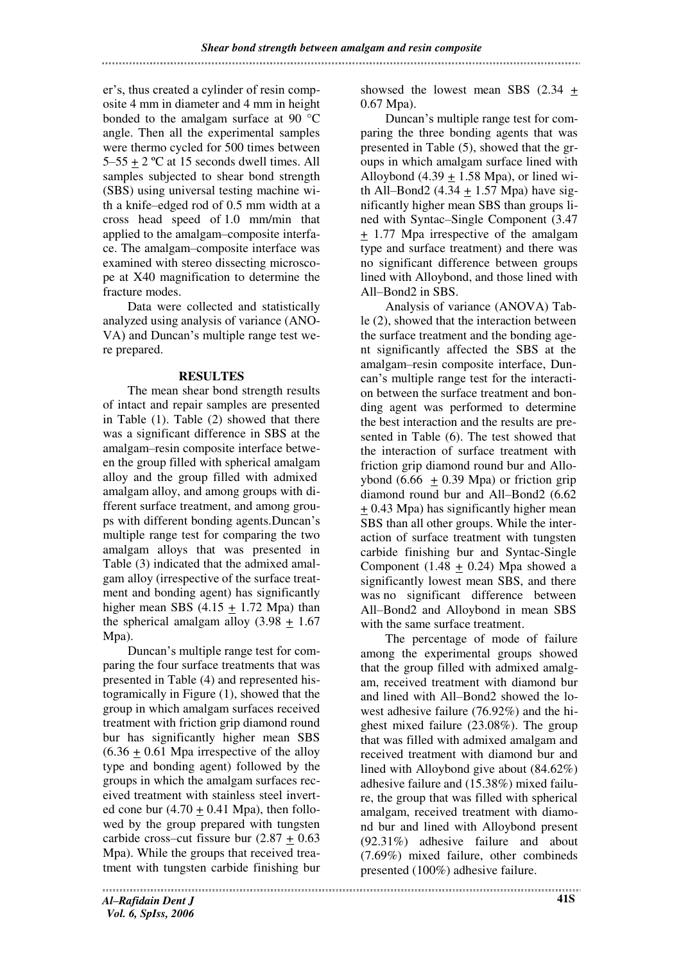er's, thus created a cylinder of resin composite 4 mm in diameter and 4 mm in height bonded to the amalgam surface at 90 °C angle. Then all the experimental samples were thermo cycled for 500 times between  $5-55 + 2$  °C at 15 seconds dwell times. All samples subjected to shear bond strength (SBS) using universal testing machine with a knife–edged rod of 0.5 mm width at a cross head speed of 1.0 mm/min that applied to the amalgam–composite interface. The amalgam–composite interface was examined with stereo dissecting microscope at X40 magnification to determine the fracture modes.

Data were collected and statistically analyzed using analysis of variance (ANO-VA) and Duncan's multiple range test were prepared.

# **RESULTES**

The mean shear bond strength results of intact and repair samples are presented in Table (1). Table (2) showed that there was a significant difference in SBS at the amalgam–resin composite interface between the group filled with spherical amalgam alloy and the group filled with admixed amalgam alloy, and among groups with different surface treatment, and among groups with different bonding agents.Duncan's multiple range test for comparing the two amalgam alloys that was presented in Table (3) indicated that the admixed amalgam alloy (irrespective of the surface treatment and bonding agent) has significantly higher mean SBS  $(4.15 + 1.72)$  Mpa) than the spherical amalgam alloy  $(3.98 + 1.67)$ Mpa).

Duncan's multiple range test for comparing the four surface treatments that was presented in Table (4) and represented histogramically in Figure (1), showed that the group in which amalgam surfaces received treatment with friction grip diamond round bur has significantly higher mean SBS  $(6.36 \pm 0.61)$  Mpa irrespective of the alloy type and bonding agent) followed by the groups in which the amalgam surfaces received treatment with stainless steel inverted cone bur  $(4.70 + 0.41$  Mpa), then followed by the group prepared with tungsten carbide cross–cut fissure bur  $(2.87 + 0.63)$ Mpa). While the groups that received treatment with tungsten carbide finishing bur showsed the lowest mean SBS (2.34 + 0.67 Mpa).

Duncan's multiple range test for comparing the three bonding agents that was presented in Table (5), showed that the groups in which amalgam surface lined with Alloybond  $(4.39 + 1.58 \text{ Mpa})$ , or lined with All–Bond2  $(4.34 + 1.57)$  Mpa) have significantly higher mean SBS than groups lined with Syntac–Single Component (3.47 + 1.77 Mpa irrespective of the amalgam type and surface treatment) and there was no significant difference between groups lined with Alloybond, and those lined with All–Bond2 in SBS.

Analysis of variance (ANOVA) Table (2), showed that the interaction between the surface treatment and the bonding agent significantly affected the SBS at the amalgam–resin composite interface, Duncan's multiple range test for the interaction between the surface treatment and bonding agent was performed to determine the best interaction and the results are presented in Table (6). The test showed that the interaction of surface treatment with friction grip diamond round bur and Alloybond  $(6.66 + 0.39 \text{ Mpa})$  or friction grip diamond round bur and All–Bond2 (6.62 + 0.43 Mpa) has significantly higher mean SBS than all other groups. While the interaction of surface treatment with tungsten carbide finishing bur and Syntac-Single Component (1.48  $\pm$  0.24) Mpa showed a significantly lowest mean SBS, and there was no significant difference between All–Bond2 and Alloybond in mean SBS with the same surface treatment.

The percentage of mode of failure among the experimental groups showed that the group filled with admixed amalgam, received treatment with diamond bur and lined with All–Bond2 showed the lowest adhesive failure (76.92%) and the highest mixed failure (23.08%). The group that was filled with admixed amalgam and received treatment with diamond bur and lined with Alloybond give about (84.62%) adhesive failure and (15.38%) mixed failure, the group that was filled with spherical amalgam, received treatment with diamond bur and lined with Alloybond present (92.31%) adhesive failure and about (7.69%) mixed failure, other combineds presented (100%) adhesive failure.

*Al–Rafidain Dent J Vol. 6, SpIss, 2006*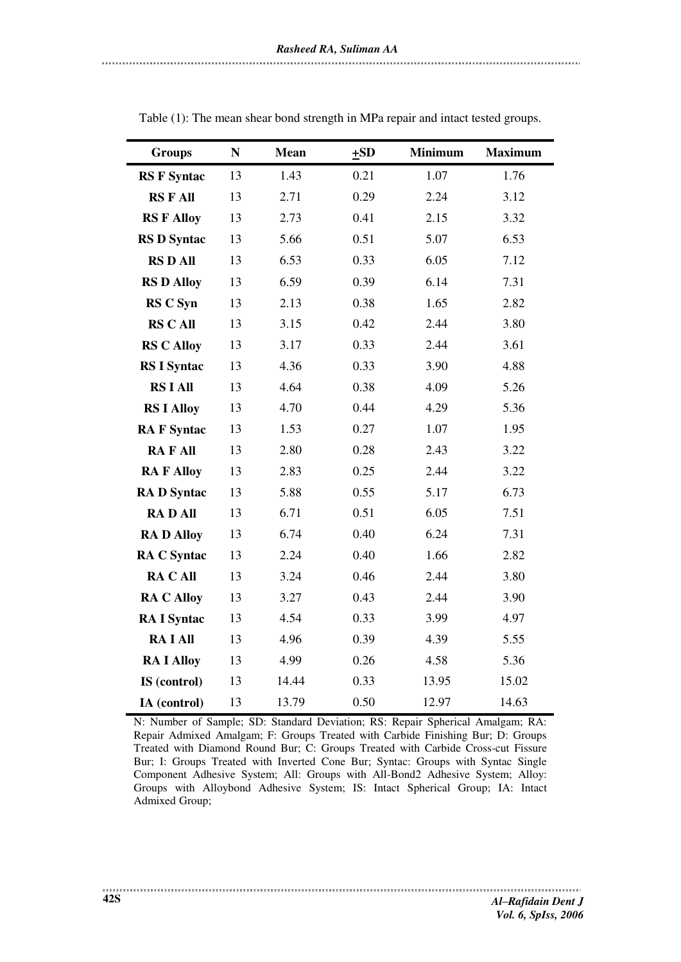| <b>Groups</b>      | ${\bf N}$ | <b>Mean</b> | $\pm SD$ | <b>Minimum</b> | <b>Maximum</b> |
|--------------------|-----------|-------------|----------|----------------|----------------|
| <b>RS F Syntac</b> | 13        | 1.43        | 0.21     | 1.07           | 1.76           |
| <b>RSFAll</b>      | 13        | 2.71        | 0.29     | 2.24           | 3.12           |
| <b>RS F Alloy</b>  | 13        | 2.73        | 0.41     | 2.15           | 3.32           |
| <b>RS D Syntac</b> | 13        | 5.66        | 0.51     | 5.07           | 6.53           |
| <b>RS D All</b>    | 13        | 6.53        | 0.33     | 6.05           | 7.12           |
| <b>RS D Alloy</b>  | 13        | 6.59        | 0.39     | 6.14           | 7.31           |
| <b>RS C Syn</b>    | 13        | 2.13        | 0.38     | 1.65           | 2.82           |
| <b>RS C All</b>    | 13        | 3.15        | 0.42     | 2.44           | 3.80           |
| <b>RS C Alloy</b>  | 13        | 3.17        | 0.33     | 2.44           | 3.61           |
| <b>RS I Syntac</b> | 13        | 4.36        | 0.33     | 3.90           | 4.88           |
| <b>RS I All</b>    | 13        | 4.64        | 0.38     | 4.09           | 5.26           |
| <b>RS I Alloy</b>  | 13        | 4.70        | 0.44     | 4.29           | 5.36           |
| <b>RAF</b> Syntac  | 13        | 1.53        | 0.27     | 1.07           | 1.95           |
| <b>RAFAII</b>      | 13        | 2.80        | 0.28     | 2.43           | 3.22           |
| <b>RAF Alloy</b>   | 13        | 2.83        | 0.25     | 2.44           | 3.22           |
| <b>RAD</b> Syntac  | 13        | 5.88        | 0.55     | 5.17           | 6.73           |
| <b>RADAII</b>      | 13        | 6.71        | 0.51     | 6.05           | 7.51           |
| <b>RAD Alloy</b>   | 13        | 6.74        | 0.40     | 6.24           | 7.31           |
| <b>RA C Syntac</b> | 13        | 2.24        | 0.40     | 1.66           | 2.82           |
| <b>RACAII</b>      | 13        | 3.24        | 0.46     | 2.44           | 3.80           |
| <b>RA C Alloy</b>  | 13        | 3.27        | 0.43     | 2.44           | 3.90           |
| <b>RA I Syntac</b> | 13        | 4.54        | 0.33     | 3.99           | 4.97           |
| <b>RAIAll</b>      | 13        | 4.96        | 0.39     | 4.39           | 5.55           |
| <b>RA I Alloy</b>  | 13        | 4.99        | 0.26     | 4.58           | 5.36           |
| IS (control)       | 13        | 14.44       | 0.33     | 13.95          | 15.02          |
| IA (control)       | 13        | 13.79       | 0.50     | 12.97          | 14.63          |

Table (1): The mean shear bond strength in MPa repair and intact tested groups.

N: Number of Sample; SD: Standard Deviation; RS: Repair Spherical Amalgam; RA: Repair Admixed Amalgam; F: Groups Treated with Carbide Finishing Bur; D: Groups Treated with Diamond Round Bur; C: Groups Treated with Carbide Cross-cut Fissure Bur; I: Groups Treated with Inverted Cone Bur; Syntac: Groups with Syntac Single Component Adhesive System; All: Groups with All-Bond2 Adhesive System; Alloy: Groups with Alloybond Adhesive System; IS: Intact Spherical Group; IA: Intact Admixed Group;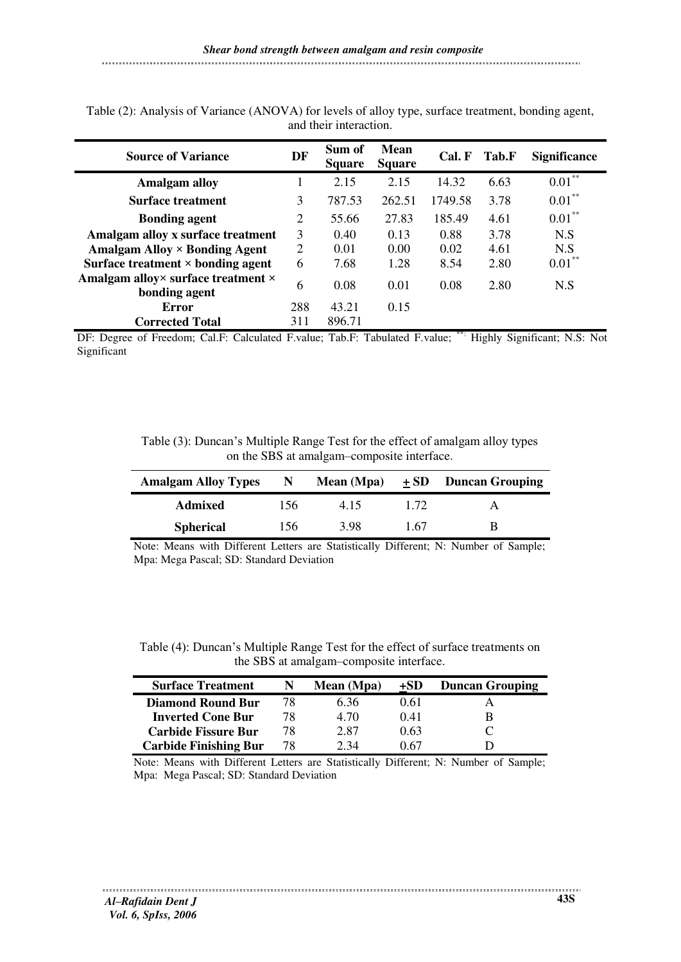| <b>Source of Variance</b>                           | DF  | Sum of<br><b>Square</b> | Mean<br><b>Square</b> | Cal. F  | Tab.F | <b>Significance</b> |
|-----------------------------------------------------|-----|-------------------------|-----------------------|---------|-------|---------------------|
| <b>Amalgam alloy</b>                                |     | 2.15                    | 2.15                  | 14.32   | 6.63  | $0.01***$           |
| <b>Surface treatment</b>                            | 3   | 787.53                  | 262.51                | 1749.58 | 3.78  | $0.01***$           |
| <b>Bonding agent</b>                                | 2   | 55.66                   | 27.83                 | 185.49  | 4.61  | $0.01***$           |
| Amalgam alloy x surface treatment                   | 3   | 0.40                    | 0.13                  | 0.88    | 3.78  | N.S                 |
| Amalgam Alloy $\times$ Bonding Agent                | 2   | 0.01                    | 0.00                  | 0.02    | 4.61  | N.S                 |
| Surface treatment $\times$ bonding agent            | 6   | 7.68                    | 1.28                  | 8.54    | 2.80  | $0.01***$           |
| Amalgam alloy× surface treatment ×<br>bonding agent | 6   | 0.08                    | 0.01                  | 0.08    | 2.80  | N.S                 |
| <b>Error</b>                                        | 288 | 43.21                   | 0.15                  |         |       |                     |
| <b>Corrected Total</b>                              | 311 | 896.71                  |                       | ¢       |       |                     |

Table (2): Analysis of Variance (ANOVA) for levels of alloy type, surface treatment, bonding agent, and their interaction.

DF: Degree of Freedom; Cal.F: Calculated F.value; Tab.F: Tabulated F.value; \*\*: Highly Significant; N.S: Not Significant

Table (3): Duncan's Multiple Range Test for the effect of amalgam alloy types on the SBS at amalgam–composite interface.

| <b>Amalgam Alloy Types</b> | N.  | Mean (Mpa) | $+SD$ | <b>Duncan Grouping</b> |
|----------------------------|-----|------------|-------|------------------------|
| Admixed                    | 156 | 4.15       | 1.72  |                        |
| <b>Spherical</b>           | 156 | 3.98       | 1 67  | в                      |

Note: Means with Different Letters are Statistically Different; N: Number of Sample; Mpa: Mega Pascal; SD: Standard Deviation

Table (4): Duncan's Multiple Range Test for the effect of surface treatments on the SBS at amalgam–composite interface.

| <b>Surface Treatment</b>     |     | Mean (Mpa) | +SD  | <b>Duncan Grouping</b> |
|------------------------------|-----|------------|------|------------------------|
| <b>Diamond Round Bur</b>     | 78. | 6.36       | 0.61 |                        |
| <b>Inverted Cone Bur</b>     | 78. | 4.70       | 0.41 |                        |
| <b>Carbide Fissure Bur</b>   | 78  | 2.87       | 0.63 |                        |
| <b>Carbide Finishing Bur</b> | 78  | 2.34       | 0 67 |                        |

Note: Means with Different Letters are Statistically Different; N: Number of Sample; Mpa: Mega Pascal; SD: Standard Deviation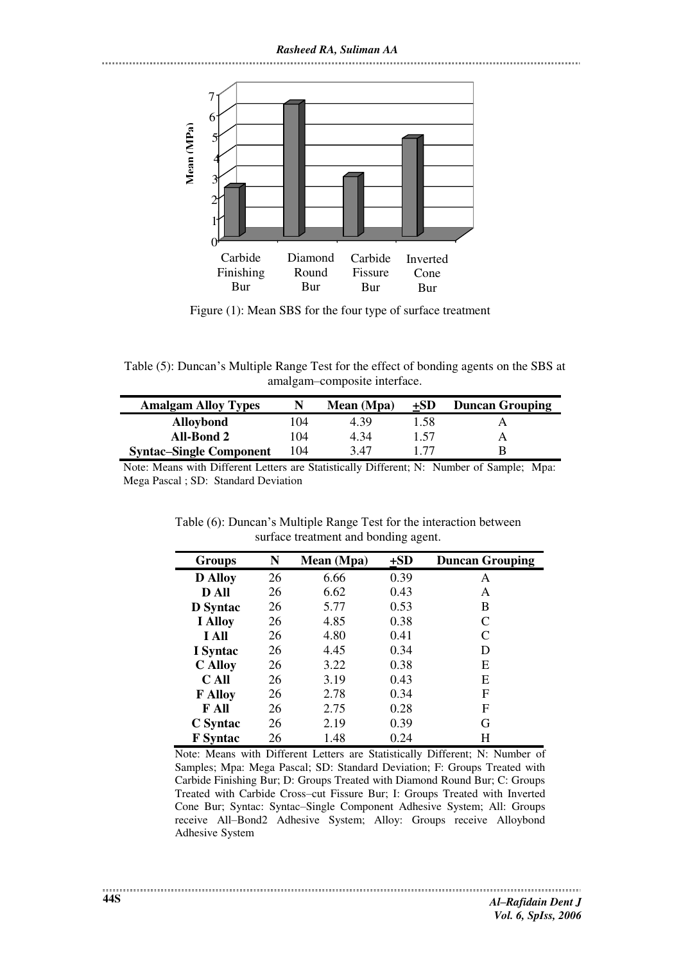*Rasheed RA, Suliman AA* 



Figure (1): Mean SBS for the four type of surface treatment

Table (5): Duncan's Multiple Range Test for the effect of bonding agents on the SBS at amalgam–composite interface.

| <b>Amalgam Alloy Types</b>     | N   | Mean (Mpa) | +SD  | <b>Duncan Grouping</b> |
|--------------------------------|-----|------------|------|------------------------|
| <b>Alloybond</b>               | 104 | 4.39       | 1.58 |                        |
| All-Bond 2                     | 104 | 4.34       | 1.57 |                        |
| <b>Syntac–Single Component</b> | 104 | 3.47       | 177  |                        |

Note: Means with Different Letters are Statistically Different; N: Number of Sample; Mpa: Mega Pascal ; SD: Standard Deviation

Table (6): Duncan's Multiple Range Test for the interaction between surface treatment and bonding agent.

| <b>Groups</b>   | N  | Mean (Mpa) | $+SD$ | <b>Duncan Grouping</b> |
|-----------------|----|------------|-------|------------------------|
| <b>D</b> Alloy  | 26 | 6.66       | 0.39  | А                      |
| D All           | 26 | 6.62       | 0.43  | A                      |
| <b>D</b> Syntac | 26 | 5.77       | 0.53  | B                      |
| <b>I</b> Alloy  | 26 | 4.85       | 0.38  | C                      |
| I All           | 26 | 4.80       | 0.41  | C                      |
| I Syntac        | 26 | 4.45       | 0.34  | D                      |
| <b>C</b> Alloy  | 26 | 3.22       | 0.38  | E                      |
| C All           | 26 | 3.19       | 0.43  | Е                      |
| <b>F</b> Alloy  | 26 | 2.78       | 0.34  | F                      |
| F All           | 26 | 2.75       | 0.28  | F                      |
| C Syntac        | 26 | 2.19       | 0.39  | G                      |
| <b>F</b> Syntac | 26 | 1.48       | 0.24  | H                      |

Note: Means with Different Letters are Statistically Different; N: Number of Samples; Mpa: Mega Pascal; SD: Standard Deviation; F: Groups Treated with Carbide Finishing Bur; D: Groups Treated with Diamond Round Bur; C: Groups Treated with Carbide Cross–cut Fissure Bur; I: Groups Treated with Inverted Cone Bur; Syntac: Syntac–Single Component Adhesive System; All: Groups receive All–Bond2 Adhesive System; Alloy: Groups receive Alloybond Adhesive System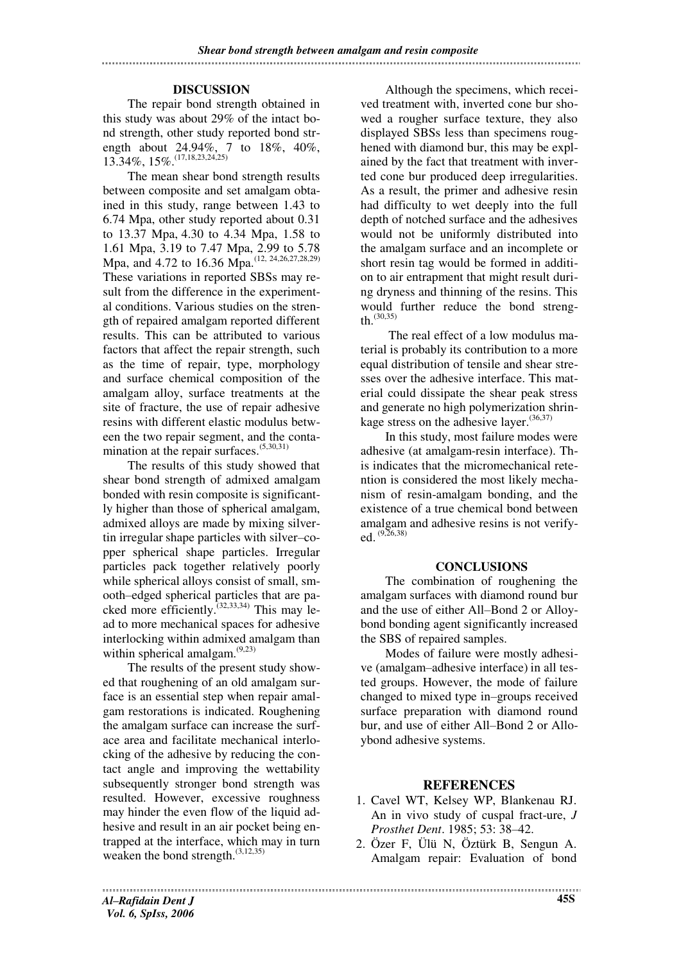## **DISCUSSION**

The repair bond strength obtained in this study was about 29% of the intact bond strength, other study reported bond strength about 24.94%, 7 to 18%, 40%, 13.34%, 15%.(17,18,23,24,25)

The mean shear bond strength results between composite and set amalgam obtained in this study, range between 1.43 to 6.74 Mpa, other study reported about 0.31 to 13.37 Mpa, 4.30 to 4.34 Mpa, 1.58 to 1.61 Mpa, 3.19 to 7.47 Mpa, 2.99 to 5.78 Mpa, and 4.72 to 16.36 Mpa.<sup>(12, 24, 26, 27, 28, 29)</sup> These variations in reported SBSs may result from the difference in the experimental conditions. Various studies on the strength of repaired amalgam reported different results. This can be attributed to various factors that affect the repair strength, such as the time of repair, type, morphology and surface chemical composition of the amalgam alloy, surface treatments at the site of fracture, the use of repair adhesive resins with different elastic modulus between the two repair segment, and the contamination at the repair surfaces.<sup>(5,30,31)</sup>

The results of this study showed that shear bond strength of admixed amalgam bonded with resin composite is significantly higher than those of spherical amalgam, admixed alloys are made by mixing silvertin irregular shape particles with silver–copper spherical shape particles. Irregular particles pack together relatively poorly while spherical alloys consist of small, smooth–edged spherical particles that are packed more efficiently.<sup> $(32,33,34)$ </sup> This may lead to more mechanical spaces for adhesive interlocking within admixed amalgam than within spherical amalgam.<sup>(9,23)</sup>

The results of the present study showed that roughening of an old amalgam surface is an essential step when repair amalgam restorations is indicated. Roughening the amalgam surface can increase the surface area and facilitate mechanical interlocking of the adhesive by reducing the contact angle and improving the wettability subsequently stronger bond strength was resulted. However, excessive roughness may hinder the even flow of the liquid adhesive and result in an air pocket being entrapped at the interface, which may in turn weaken the bond strength.<sup>(3,12,35)</sup>

Although the specimens, which received treatment with, inverted cone bur showed a rougher surface texture, they also displayed SBSs less than specimens roughened with diamond bur, this may be explained by the fact that treatment with inverted cone bur produced deep irregularities. As a result, the primer and adhesive resin had difficulty to wet deeply into the full depth of notched surface and the adhesives would not be uniformly distributed into the amalgam surface and an incomplete or short resin tag would be formed in addition to air entrapment that might result during dryness and thinning of the resins. This would further reduce the bond strength.  $(30,35)$ 

 The real effect of a low modulus material is probably its contribution to a more equal distribution of tensile and shear stresses over the adhesive interface. This material could dissipate the shear peak stress and generate no high polymerization shrinkage stress on the adhesive layer.  $(36,37)$ 

In this study, most failure modes were adhesive (at amalgam-resin interface). This indicates that the micromechanical retention is considered the most likely mechanism of resin-amalgam bonding, and the existence of a true chemical bond between amalgam and adhesive resins is not verifyed. (9,26,38)

#### **CONCLUSIONS**

The combination of roughening the amalgam surfaces with diamond round bur and the use of either All–Bond 2 or Alloybond bonding agent significantly increased the SBS of repaired samples.

Modes of failure were mostly adhesive (amalgam–adhesive interface) in all tested groups. However, the mode of failure changed to mixed type in–groups received surface preparation with diamond round bur, and use of either All–Bond 2 or Alloybond adhesive systems.

# **REFERENCES**

- 1. Cavel WT, Kelsey WP, Blankenau RJ. An in vivo study of cuspal fract-ure, *J Prosthet Dent*. 1985; 53: 38–42.
- 2. Özer F, Ülü N, Öztürk B, Sengun A. Amalgam repair: Evaluation of bond

*Al–Rafidain Dent J Vol. 6, SpIss, 2006*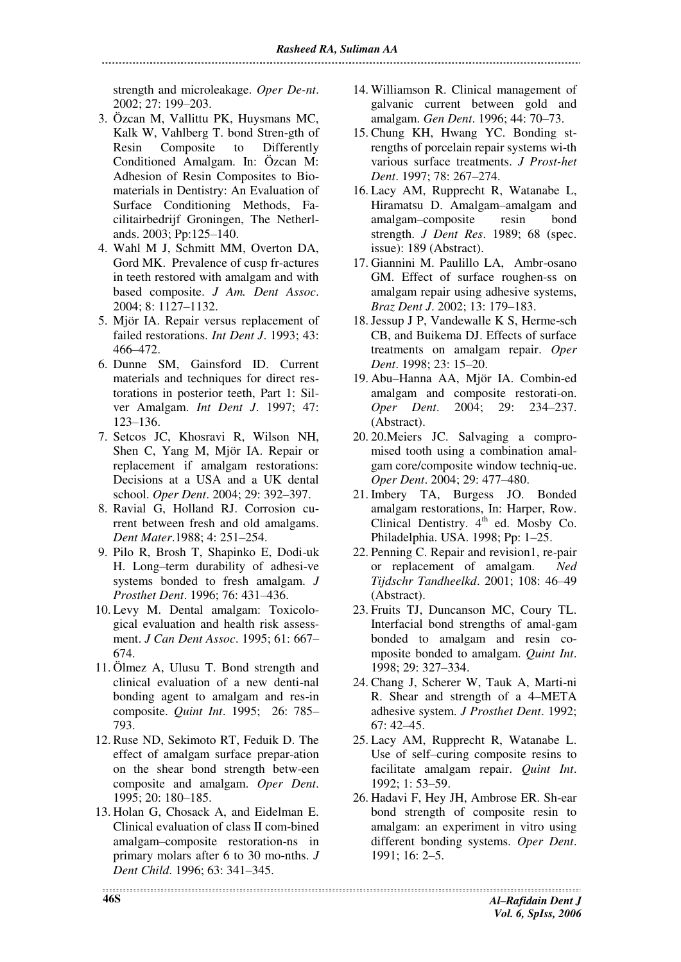strength and microleakage. *Oper De-nt*. 2002; 27: 199–203.

- 3. Özcan M, Vallittu PK, Huysmans MC, Kalk W, Vahlberg T. bond Stren-gth of Resin Composite to Differently Conditioned Amalgam. In: Özcan M: Adhesion of Resin Composites to Biomaterials in Dentistry: An Evaluation of Surface Conditioning Methods, Facilitairbedrijf Groningen, The Netherlands. 2003; Pp:125–140.
- 4. Wahl M J, Schmitt MM, Overton DA, Gord MK. Prevalence of cusp fr-actures in teeth restored with amalgam and with based composite. *J Am. Dent Assoc*. 2004; 8: 1127–1132.
- 5. Mjör IA. Repair versus replacement of failed restorations. *Int Dent J*. 1993; 43: 466–472.
- 6. Dunne SM, Gainsford ID. Current materials and techniques for direct restorations in posterior teeth, Part 1: Silver Amalgam. *Int Dent J*. 1997; 47: 123–136.
- 7. Setcos JC, Khosravi R, Wilson NH, Shen C, Yang M, Mjör IA. Repair or replacement if amalgam restorations: Decisions at a USA and a UK dental school. *Oper Dent*. 2004; 29: 392–397.
- 8. Ravial G, Holland RJ. Corrosion current between fresh and old amalgams. *Dent Mater*.1988; 4: 251–254.
- 9. Pilo R, Brosh T, Shapinko E, Dodi-uk H. Long–term durability of adhesi-ve systems bonded to fresh amalgam. *J Prosthet Dent*. 1996; 76: 431–436.
- 10. Levy M. Dental amalgam: Toxicological evaluation and health risk assessment. *J Can Dent Assoc*. 1995; 61: 667– 674.
- 11. Ölmez A, Ulusu T. Bond strength and clinical evaluation of a new denti-nal bonding agent to amalgam and res-in composite. *Quint Int*. 1995; 26: 785– 793.
- 12. Ruse ND, Sekimoto RT, Feduik D. The effect of amalgam surface prepar-ation on the shear bond strength betw-een composite and amalgam. *Oper Dent*. 1995; 20: 180–185.
- 13. Holan G, Chosack A, and Eidelman E. Clinical evaluation of class II com-bined amalgam–composite restoration-ns in primary molars after 6 to 30 mo-nths. *J Dent Child*. 1996; 63: 341–345.
- 14. Williamson R. Clinical management of galvanic current between gold and amalgam. *Gen Dent*. 1996; 44: 70–73.
- 15. Chung KH, Hwang YC. Bonding strengths of porcelain repair systems wi-th various surface treatments. *J Prost-het Dent*. 1997; 78: 267–274.
- 16. Lacy AM, Rupprecht R, Watanabe L, Hiramatsu D. Amalgam–amalgam and amalgam–composite resin bond strength. *J Dent Res*. 1989; 68 (spec. issue): 189 (Abstract).
- 17. Giannini M. Paulillo LA, Ambr-osano GM. Effect of surface roughen-ss on amalgam repair using adhesive systems, *Braz Dent J*. 2002; 13: 179–183.
- 18.Jessup J P, Vandewalle K S, Herme-sch CB, and Buikema DJ. Effects of surface treatments on amalgam repair. *Oper Dent*. 1998; 23: 15–20.
- 19. Abu–Hanna AA, Mjör IA. Combin-ed amalgam and composite restorati-on. *Oper Dent*. 2004; 29: 234–237. (Abstract).
- 20. 20.Meiers JC. Salvaging a compromised tooth using a combination amalgam core/composite window techniq-ue. *Oper Dent*. 2004; 29: 477–480.
- 21. Imbery TA, Burgess JO. Bonded amalgam restorations, In: Harper, Row. Clinical Dentistry. 4<sup>th</sup> ed. Mosby Co. Philadelphia. USA. 1998; Pp: 1–25.
- 22. Penning C. Repair and revision1, re-pair or replacement of amalgam. *Ned Tijdschr Tandheelkd*. 2001; 108: 46–49 (Abstract).
- 23. Fruits TJ, Duncanson MC, Coury TL. Interfacial bond strengths of amal-gam bonded to amalgam and resin composite bonded to amalgam. *Quint Int*. 1998; 29: 327–334.
- 24. Chang J, Scherer W, Tauk A, Marti-ni R. Shear and strength of a 4–META adhesive system. *J Prosthet Dent*. 1992; 67: 42–45.
- 25. Lacy AM, Rupprecht R, Watanabe L. Use of self–curing composite resins to facilitate amalgam repair. *Quint Int*. 1992; 1: 53–59.
- 26. Hadavi F, Hey JH, Ambrose ER. Sh-ear bond strength of composite resin to amalgam: an experiment in vitro using different bonding systems. *Oper Dent*. 1991; 16: 2–5.